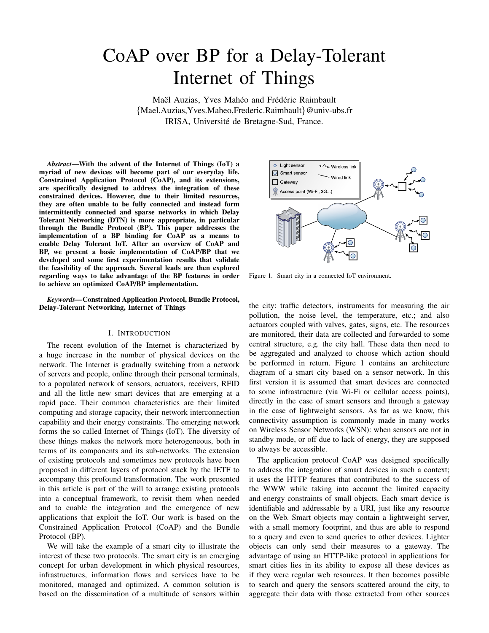# CoAP over BP for a Delay-Tolerant Internet of Things

Maël Auzias, Yves Mahéo and Frédéric Raimbault {Mael.Auzias,Yves.Maheo,Frederic.Raimbault}@univ-ubs.fr IRISA, Universite de Bretagne-Sud, France. ´

*Abstract*—With the advent of the Internet of Things (IoT) a myriad of new devices will become part of our everyday life. Constrained Application Protocol (CoAP), and its extensions, are specifically designed to address the integration of these constrained devices. However, due to their limited resources, they are often unable to be fully connected and instead form intermittently connected and sparse networks in which Delay Tolerant Networking (DTN) is more appropriate, in particular through the Bundle Protocol (BP). This paper addresses the implementation of a BP binding for CoAP as a means to enable Delay Tolerant IoT. After an overview of CoAP and BP, we present a basic implementation of CoAP/BP that we developed and some first experimentation results that validate the feasibility of the approach. Several leads are then explored regarding ways to take advantage of the BP features in order to achieve an optimized CoAP/BP implementation.

*Keywords—*Constrained Application Protocol, Bundle Protocol, Delay-Tolerant Networking, Internet of Things

# I. INTRODUCTION

The recent evolution of the Internet is characterized by a huge increase in the number of physical devices on the network. The Internet is gradually switching from a network of servers and people, online through their personal terminals, to a populated network of sensors, actuators, receivers, RFID and all the little new smart devices that are emerging at a rapid pace. Their common characteristics are their limited computing and storage capacity, their network interconnection capability and their energy constraints. The emerging network forms the so called Internet of Things (IoT). The diversity of these things makes the network more heterogeneous, both in terms of its components and its sub-networks. The extension of existing protocols and sometimes new protocols have been proposed in different layers of protocol stack by the IETF to accompany this profound transformation. The work presented in this article is part of the will to arrange existing protocols into a conceptual framework, to revisit them when needed and to enable the integration and the emergence of new applications that exploit the IoT. Our work is based on the Constrained Application Protocol (CoAP) and the Bundle Protocol (BP).

We will take the example of a smart city to illustrate the interest of these two protocols. The smart city is an emerging concept for urban development in which physical resources, infrastructures, information flows and services have to be monitored, managed and optimized. A common solution is based on the dissemination of a multitude of sensors within



Figure 1. Smart city in a connected IoT environment.

the city: traffic detectors, instruments for measuring the air pollution, the noise level, the temperature, etc.; and also actuators coupled with valves, gates, signs, etc. The resources are monitored, their data are collected and forwarded to some central structure, e.g. the city hall. These data then need to be aggregated and analyzed to choose which action should be performed in return. Figure 1 contains an architecture diagram of a smart city based on a sensor network. In this first version it is assumed that smart devices are connected to some infrastructure (via Wi-Fi or cellular access points), directly in the case of smart sensors and through a gateway in the case of lightweight sensors. As far as we know, this connectivity assumption is commonly made in many works on Wireless Sensor Networks (WSN): when sensors are not in standby mode, or off due to lack of energy, they are supposed to always be accessible.

The application protocol CoAP was designed specifically to address the integration of smart devices in such a context; it uses the HTTP features that contributed to the success of the WWW while taking into account the limited capacity and energy constraints of small objects. Each smart device is identifiable and addressable by a URI, just like any resource on the Web. Smart objects may contain a lightweight server, with a small memory footprint, and thus are able to respond to a query and even to send queries to other devices. Lighter objects can only send their measures to a gateway. The advantage of using an HTTP-like protocol in applications for smart cities lies in its ability to expose all these devices as if they were regular web resources. It then becomes possible to search and query the sensors scattered around the city, to aggregate their data with those extracted from other sources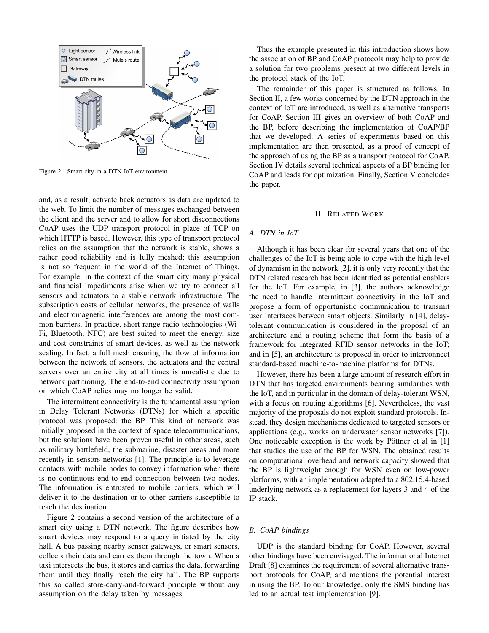

Figure 2. Smart city in a DTN IoT environment.

and, as a result, activate back actuators as data are updated to the web. To limit the number of messages exchanged between the client and the server and to allow for short disconnections CoAP uses the UDP transport protocol in place of TCP on which HTTP is based. However, this type of transport protocol relies on the assumption that the network is stable, shows a rather good reliability and is fully meshed; this assumption is not so frequent in the world of the Internet of Things. For example, in the context of the smart city many physical and financial impediments arise when we try to connect all sensors and actuators to a stable network infrastructure. The subscription costs of cellular networks, the presence of walls and electromagnetic interferences are among the most common barriers. In practice, short-range radio technologies (Wi-Fi, Bluetooth, NFC) are best suited to meet the energy, size and cost constraints of smart devices, as well as the network scaling. In fact, a full mesh ensuring the flow of information between the network of sensors, the actuators and the central servers over an entire city at all times is unrealistic due to network partitioning. The end-to-end connectivity assumption on which CoAP relies may no longer be valid.

The intermittent connectivity is the fundamental assumption in Delay Tolerant Networks (DTNs) for which a specific protocol was proposed: the BP. This kind of network was initially proposed in the context of space telecommunications, but the solutions have been proven useful in other areas, such as military battlefield, the submarine, disaster areas and more recently in sensors networks [1]. The principle is to leverage contacts with mobile nodes to convey information when there is no continuous end-to-end connection between two nodes. The information is entrusted to mobile carriers, which will deliver it to the destination or to other carriers susceptible to reach the destination.

Figure 2 contains a second version of the architecture of a smart city using a DTN network. The figure describes how smart devices may respond to a query initiated by the city hall. A bus passing nearby sensor gateways, or smart sensors, collects their data and carries them through the town. When a taxi intersects the bus, it stores and carries the data, forwarding them until they finally reach the city hall. The BP supports this so called store-carry-and-forward principle without any assumption on the delay taken by messages.

Thus the example presented in this introduction shows how the association of BP and CoAP protocols may help to provide a solution for two problems present at two different levels in the protocol stack of the IoT.

The remainder of this paper is structured as follows. In Section II, a few works concerned by the DTN approach in the context of IoT are introduced, as well as alternative transports for CoAP. Section III gives an overview of both CoAP and the BP, before describing the implementation of CoAP/BP that we developed. A series of experiments based on this implementation are then presented, as a proof of concept of the approach of using the BP as a transport protocol for CoAP. Section IV details several technical aspects of a BP binding for CoAP and leads for optimization. Finally, Section V concludes the paper.

#### II. RELATED WORK

#### *A. DTN in IoT*

Although it has been clear for several years that one of the challenges of the IoT is being able to cope with the high level of dynamism in the network [2], it is only very recently that the DTN related research has been identified as potential enablers for the IoT. For example, in [3], the authors acknowledge the need to handle intermittent connectivity in the IoT and propose a form of opportunistic communication to transmit user interfaces between smart objects. Similarly in [4], delaytolerant communication is considered in the proposal of an architecture and a routing scheme that form the basis of a framework for integrated RFID sensor networks in the IoT; and in [5], an architecture is proposed in order to interconnect standard-based machine-to-machine platforms for DTNs.

However, there has been a large amount of research effort in DTN that has targeted environments bearing similarities with the IoT, and in particular in the domain of delay-tolerant WSN, with a focus on routing algorithms [6]. Nevertheless, the vast majority of the proposals do not exploit standard protocols. Instead, they design mechanisms dedicated to targeted sensors or applications (e.g., works on underwater sensor networks [7]). One noticeable exception is the work by Pöttner et al in  $[1]$ that studies the use of the BP for WSN. The obtained results on computational overhead and network capacity showed that the BP is lightweight enough for WSN even on low-power platforms, with an implementation adapted to a 802.15.4-based underlying network as a replacement for layers 3 and 4 of the IP stack.

# *B. CoAP bindings*

UDP is the standard binding for CoAP. However, several other bindings have been envisaged. The informational Internet Draft [8] examines the requirement of several alternative transport protocols for CoAP, and mentions the potential interest in using the BP. To our knowledge, only the SMS binding has led to an actual test implementation [9].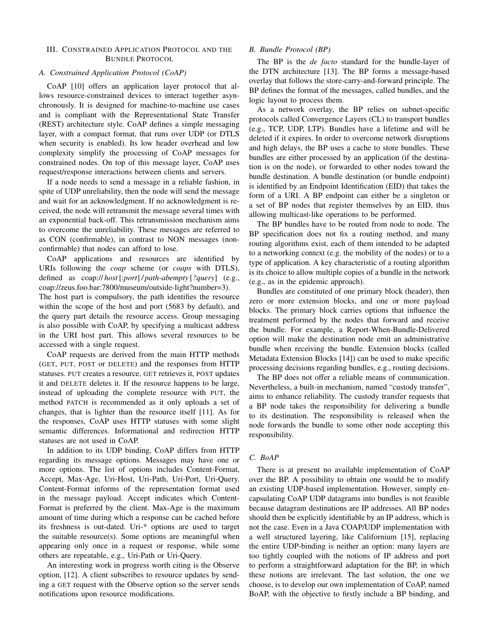# III. CONSTRAINED APPLICATION PROTOCOL AND THE BUNDLE PROTOCOL

# *A. Constrained Application Protocol (CoAP)*

CoAP [10] offers an application layer protocol that allows resource-constrained devices to interact together asynchronously. It is designed for machine-to-machine use cases and is compliant with the Representational State Transfer (REST) architecture style. CoAP defines a simple messaging layer, with a compact format, that runs over UDP (or DTLS when security is enabled). Its low header overhead and low complexity simplify the processing of CoAP messages for constrained nodes. On top of this message layer, CoAP uses request/response interactions between clients and servers.

If a node needs to send a message in a reliable fashion, in spite of UDP unreliability, then the node will send the message and wait for an acknowledgment. If no acknowledgment is received, the node will retransmit the message several times with an exponential back-off. This retransmission mechanism aims to overcome the unreliability. These messages are referred to as CON (confirmable), in contrast to NON messages (nonconfirmable) that nodes can afford to lose.

CoAP applications and resources are identified by URIs following the *coap* scheme (or *coaps* with DTLS), defined as coap:// *host* [:*port*] */ path-abempty* [*?query*] (e.g., coap://zeus.foo.bar:7800/museum/outside-light?number=3).

The host part is compulsory, the path identifies the resource within the scope of the host and port (5683 by default), and the query part details the resource access. Group messaging is also possible with CoAP, by specifying a multicast address in the URI host part. This allows several resources to be accessed with a single request.

CoAP requests are derived from the main HTTP methods (GET, PUT, POST or DELETE) and the responses from HTTP statuses. PUT creates a resource, GET retrieves it, POST updates it and DELETE deletes it. If the resource happens to be large, instead of uploading the complete resource with PUT, the method PATCH is recommended as it only uploads a set of changes, that is lighter than the resource itself [11]. As for the responses, CoAP uses HTTP statuses with some slight semantic differences. Informational and redirection HTTP statuses are not used in CoAP.

In addition to its UDP binding, CoAP differs from HTTP regarding its message options. Messages may have one or more options. The list of options includes Content-Format, Accept, Max-Age, Uri-Host, Uri-Path, Uri-Port, Uri-Query. Content-Format informs of the representation format used in the message payload. Accept indicates which Content-Format is preferred by the client. Max-Age is the maximum amount of time during which a response can be cached before its freshness is out-dated. Uri-\* options are used to target the suitable resource(s). Some options are meaningful when appearing only once in a request or response, while some others are repeatable, e.g., Uri-Path or Uri-Query.

An interesting work in progress worth citing is the Observe option, [12]. A client subscribes to resource updates by sending a GET request with the Observe option so the server sends notifications upon resource modifications.

# *B. Bundle Protocol (BP)*

The BP is the *de facto* standard for the bundle-layer of the DTN architecture [13]. The BP forms a message-based overlay that follows the store-carry-and-forward principle. The BP defines the format of the messages, called bundles, and the logic layout to process them.

As a network overlay, the BP relies on subnet-specific protocols called Convergence Layers (CL) to transport bundles (e.g., TCP, UDP, LTP). Bundles have a lifetime and will be deleted if it expires. In order to overcome network disruptions and high delays, the BP uses a cache to store bundles. These bundles are either processed by an application (if the destination is on the node), or forwarded to other nodes toward the bundle destination. A bundle destination (or bundle endpoint) is identified by an Endpoint Identification (EID) that takes the form of a URI. A BP endpoint can either be a singleton or a set of BP nodes that register themselves by an EID, thus allowing multicast-like operations to be performed.

The BP bundles have to be routed from node to node. The BP specification does not fix a routing method, and many routing algorithms exist, each of them intended to be adapted to a networking context (e.g. the mobility of the nodes) or to a type of application. A key characteristic of a routing algorithm is its choice to allow multiple copies of a bundle in the network (e.g., as in the epidemic approach).

Bundles are constituted of one primary block (header), then zero or more extension blocks, and one or more payload blocks. The primary block carries options that influence the treatment performed by the nodes that forward and receive the bundle. For example, a Report-When-Bundle-Delivered option will make the destination node emit an administrative bundle when receiving the bundle. Extension blocks (called Metadata Extension Blocks [14]) can be used to make specific processing decisions regarding bundles, e.g., routing decisions.

The BP does not offer a reliable means of communication. Nevertheless, a built-in mechanism, named "custody transfer", aims to enhance reliability. The custody transfer requests that a BP node takes the responsibility for delivering a bundle to its destination. The responsibility is released when the node forwards the bundle to some other node accepting this responsibility.

# *C. BoAP*

There is at present no available implementation of CoAP over the BP. A possibility to obtain one would be to modify an existing UDP-based implementation. However, simply encapsulating CoAP UDP datagrams into bundles is not feasible because datagram destinations are IP addresses. All BP nodes should then be explicitly identifiable by an IP address, which is not the case. Even in a Java COAP/UDP implementation with a well structured layering, like Californium [15], replacing the entire UDP-binding is neither an option: many layers are too tightly coupled with the notions of IP address and port to perform a straightforward adaptation for the BP, in which these notions are irrelevant. The last solution, the one we choose, is to develop our own implementation of CoAP, named BoAP, with the objective to firstly include a BP binding, and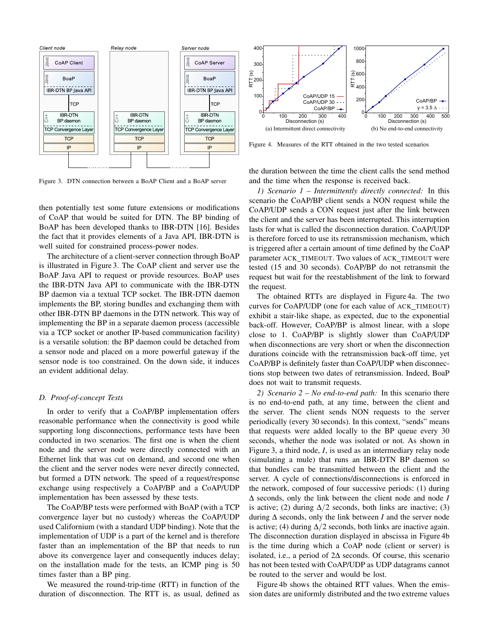

Figure 3. DTN connection between a BoAP Client and a BoAP server

then potentially test some future extensions or modifications of CoAP that would be suited for DTN. The BP binding of BoAP has been developed thanks to IBR-DTN [16]. Besides the fact that it provides elements of a Java API, IBR-DTN is well suited for constrained process-power nodes.

The architecture of a client-server connection through BoAP is illustrated in Figure 3. The CoAP client and server use the BoAP Java API to request or provide resources. BoAP uses the IBR-DTN Java API to communicate with the IBR-DTN BP daemon via a textual TCP socket. The IBR-DTN daemon implements the BP, storing bundles and exchanging them with other IBR-DTN BP daemons in the DTN network. This way of implementing the BP in a separate daemon process (accessible via a TCP socket or another IP-based communication facility) is a versatile solution: the BP daemon could be detached from a sensor node and placed on a more powerful gateway if the sensor node is too constrained. On the down side, it induces an evident additional delay.

#### *D. Proof-of-concept Tests*

In order to verify that a CoAP/BP implementation offers reasonable performance when the connectivity is good while supporting long disconnections, performance tests have been conducted in two scenarios. The first one is when the client node and the server node were directly connected with an Ethernet link that was cut on demand, and second one when the client and the server nodes were never directly connected, but formed a DTN network. The speed of a request/response exchange using respectively a CoAP/BP and a CoAP/UDP implementation has been assessed by these tests.

The CoAP/BP tests were performed with BoAP (with a TCP convergence layer but no custody) whereas the CoAP/UDP used Californium (with a standard UDP binding). Note that the implementation of UDP is a part of the kernel and is therefore faster than an implementation of the BP that needs to run above its convergence layer and consequently induces delay; on the installation made for the tests, an ICMP ping is 50 times faster than a BP ping.

We measured the round-trip-time (RTT) in function of the



Figure 4. Measures of the RTT obtained in the two tested scenarios

the duration between the time the client calls the send method and the time when the response is received back.

*1) Scenario 1 – Intermittently directly connected:* In this scenario the CoAP/BP client sends a NON request while the CoAP/UDP sends a CON request just after the link between the client and the server has been interrupted. This interruption lasts for what is called the disconnection duration. CoAP/UDP is therefore forced to use its retransmission mechanism, which is triggered after a certain amount of time defined by the CoAP parameter ACK\_TIMEOUT. Two values of ACK\_TIMEOUT were tested (15 and 30 seconds). CoAP/BP do not retransmit the request but wait for the reestablishment of the link to forward the request.

The obtained RTTs are displayed in Figure 4a. The two curves for CoAP/UDP (one for each value of ACK TIMEOUT) exhibit a stair-like shape, as expected, due to the exponential back-off. However, CoAP/BP is almost linear, with a slope close to 1. CoAP/BP is slightly slower than CoAP/UDP when disconnections are very short or when the disconnection durations coincide with the retransmission back-off time, yet CoAP/BP is definitely faster than CoAP/UDP when disconnections stop between two dates of retransmission. Indeed, BoaP does not wait to transmit requests.

**EXAMPLE THEST CONFIRM CONFIRM CONFIRM CONFIRM CONFIRM CONFIRM CONFIRM CONFIRM CONFIRM CONFIRM CONFIRM CONFIRM CONFIRM CONFIRM CONFIRM CONFIRM CONFIRM CONFIRM CONFIRM CONFIRM CONFIRM CONFIRM CONFIRM CONFIRM CONFIRM CONFIR** *2) Scenario 2 – No end-to-end path:* In this scenario there is no end-to-end path, at any time, between the client and the server. The client sends NON requests to the server periodically (every 30 seconds). In this context, "sends" means that requests were added locally to the BP queue every 30 seconds, whether the node was isolated or not. As shown in Figure 3, a third node, *I*, is used as an intermediary relay node (simulating a mule) that runs an IBR-DTN BP daemon so that bundles can be transmitted between the client and the server. A cycle of connections/disconnections is enforced in the network, composed of four successive periods: (1) during ∆ seconds, only the link between the client node and node *I* is active; (2) during  $\Delta/2$  seconds, both links are inactive; (3) during ∆ seconds, only the link between *I* and the server node is active; (4) during  $\Delta/2$  seconds, both links are inactive again. The disconnection duration displayed in abscissa in Figure 4b is the time during which a CoAP node (client or server) is isolated, i.e., a period of 2∆ seconds. Of course, this scenario has not been tested with CoAP/UDP as UDP datagrams cannot be routed to the server and would be lost.

Figure 4b shows the obtained RTT values. When the emission dates are uniformly distributed and the two extreme values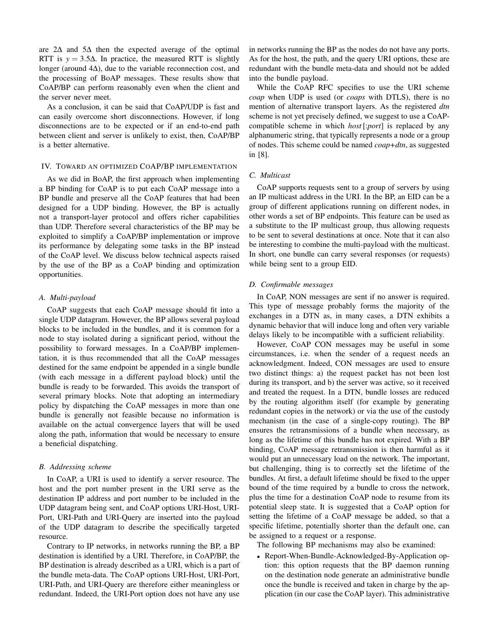are 2∆ and 5∆ then the expected average of the optimal RTT is  $y = 3.5\Delta$ . In practice, the measured RTT is slightly longer (around 4∆), due to the variable reconnection cost, and the processing of BoAP messages. These results show that CoAP/BP can perform reasonably even when the client and the server never meet.

As a conclusion, it can be said that CoAP/UDP is fast and can easily overcome short disconnections. However, if long disconnections are to be expected or if an end-to-end path between client and server is unlikely to exist, then, CoAP/BP is a better alternative.

#### IV. TOWARD AN OPTIMIZED COAP/BP IMPLEMENTATION

As we did in BoAP, the first approach when implementing a BP binding for CoAP is to put each CoAP message into a BP bundle and preserve all the CoAP features that had been designed for a UDP binding. However, the BP is actually not a transport-layer protocol and offers richer capabilities than UDP. Therefore several characteristics of the BP may be exploited to simplify a CoAP/BP implementation or improve its performance by delegating some tasks in the BP instead of the CoAP level. We discuss below technical aspects raised by the use of the BP as a CoAP binding and optimization opportunities.

#### *A. Multi-payload*

CoAP suggests that each CoAP message should fit into a single UDP datagram. However, the BP allows several payload blocks to be included in the bundles, and it is common for a node to stay isolated during a significant period, without the possibility to forward messages. In a CoAP/BP implementation, it is thus recommended that all the CoAP messages destined for the same endpoint be appended in a single bundle (with each message in a different payload block) until the bundle is ready to be forwarded. This avoids the transport of several primary blocks. Note that adopting an intermediary policy by dispatching the CoAP messages in more than one bundle is generally not feasible because no information is available on the actual convergence layers that will be used along the path, information that would be necessary to ensure a beneficial dispatching.

#### *B. Addressing scheme*

In CoAP, a URI is used to identify a server resource. The host and the port number present in the URI serve as the destination IP address and port number to be included in the UDP datagram being sent, and CoAP options URI-Host, URI-Port, URI-Path and URI-Query are inserted into the payload of the UDP datagram to describe the specifically targeted resource.

Contrary to IP networks, in networks running the BP, a BP destination is identified by a URI. Therefore, in CoAP/BP, the BP destination is already described as a URI, which is a part of the bundle meta-data. The CoAP options URI-Host, URI-Port, URI-Path, and URI-Query are therefore either meaningless or redundant. Indeed, the URI-Port option does not have any use

in networks running the BP as the nodes do not have any ports. As for the host, the path, and the query URI options, these are redundant with the bundle meta-data and should not be added into the bundle payload.

While the CoAP RFC specifies to use the URI scheme *coap* when UDP is used (or *coaps* with DTLS), there is no mention of alternative transport layers. As the registered *dtn* scheme is not yet precisely defined, we suggest to use a CoAPcompatible scheme in which *host* [:*port*] is replaced by any alphanumeric string, that typically represents a node or a group of nodes. This scheme could be named *coap+dtn*, as suggested in [8].

#### *C. Multicast*

CoAP supports requests sent to a group of servers by using an IP multicast address in the URI. In the BP, an EID can be a group of different applications running on different nodes, in other words a set of BP endpoints. This feature can be used as a substitute to the IP multicast group, thus allowing requests to be sent to several destinations at once. Note that it can also be interesting to combine the multi-payload with the multicast. In short, one bundle can carry several responses (or requests) while being sent to a group EID.

# *D. Confirmable messages*

In CoAP, NON messages are sent if no answer is required. This type of message probably forms the majority of the exchanges in a DTN as, in many cases, a DTN exhibits a dynamic behavior that will induce long and often very variable delays likely to be incompatible with a sufficient reliability.

However, CoAP CON messages may be useful in some circumstances, i.e. when the sender of a request needs an acknowledgment. Indeed, CON messages are used to ensure two distinct things: a) the request packet has not been lost during its transport, and b) the server was active, so it received and treated the request. In a DTN, bundle losses are reduced by the routing algorithm itself (for example by generating redundant copies in the network) or via the use of the custody mechanism (in the case of a single-copy routing). The BP ensures the retransmissions of a bundle when necessary, as long as the lifetime of this bundle has not expired. With a BP binding, CoAP message retransmission is then harmful as it would put an unnecessary load on the network. The important, but challenging, thing is to correctly set the lifetime of the bundles. At first, a default lifetime should be fixed to the upper bound of the time required by a bundle to cross the network, plus the time for a destination CoAP node to resume from its potential sleep state. It is suggested that a CoAP option for setting the lifetime of a CoAP message be added, so that a specific lifetime, potentially shorter than the default one, can be assigned to a request or a response.

The following BP mechanisms may also be examined:

• Report-When-Bundle-Acknowledged-By-Application option: this option requests that the BP daemon running on the destination node generate an administrative bundle once the bundle is received and taken in charge by the application (in our case the CoAP layer). This administrative